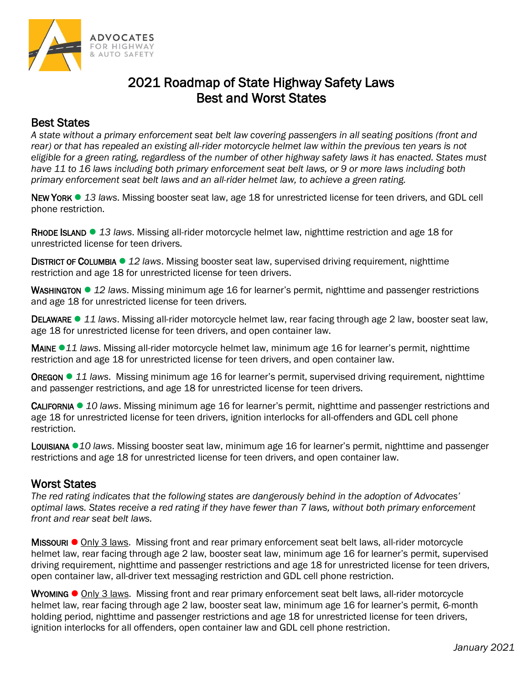

## 2021 Roadmap of State Highway Safety Laws Best and Worst States

## Best States

*A state without a primary enforcement seat belt law covering passengers in all seating positions (front and rear) or that has repealed an existing all-rider motorcycle helmet law within the previous ten years is not eligible for a green rating, regardless of the number of other highway safety laws it has enacted. States must have 11 to 16 laws including both primary enforcement seat belt laws, or 9 or more laws including both primary enforcement seat belt laws and an all-rider helmet law, to achieve a green rating.*

NEW YORK ⚫ *13 laws*. Missing booster seat law, age 18 for unrestricted license for teen drivers, and GDL cell phone restriction.

RHODE ISLAND ⚫ *13 laws*. Missing all-rider motorcycle helmet law, nighttime restriction and age 18 for unrestricted license for teen drivers.

DISTRICT OF COLUMBIA ⚫ *12 laws*. Missing booster seat law, supervised driving requirement, nighttime restriction and age 18 for unrestricted license for teen drivers.

WASHINGTON ⚫ *12 laws*. Missing minimum age 16 for learner's permit, nighttime and passenger restrictions and age 18 for unrestricted license for teen drivers.

DELAWARE ⚫ *11 laws*. Missing all-rider motorcycle helmet law, rear facing through age 2 law, booster seat law, age 18 for unrestricted license for teen drivers, and open container law.

MAINE ⚫*11 laws*. Missing all-rider motorcycle helmet law, minimum age 16 for learner's permit, nighttime restriction and age 18 for unrestricted license for teen drivers, and open container law.

OREGON ⚫ *11 laws*. Missing minimum age 16 for learner's permit, supervised driving requirement, nighttime and passenger restrictions, and age 18 for unrestricted license for teen drivers.

CALIFORNIA ⚫ *10 laws*. Missing minimum age 16 for learner's permit, nighttime and passenger restrictions and age 18 for unrestricted license for teen drivers, ignition interlocks for all-offenders and GDL cell phone restriction.

LOUISIANA ⚫*10 laws*. Missing booster seat law, minimum age 16 for learner's permit, nighttime and passenger restrictions and age 18 for unrestricted license for teen drivers, and open container law.

## Worst States

*The red rating indicates that the following states are dangerously behind in the adoption of Advocates' optimal laws. States receive a red rating if they have fewer than 7 laws, without both primary enforcement front and rear seat belt laws.* 

MISSOURI ⚫ Only 3 laws. Missing front and rear primary enforcement seat belt laws, all-rider motorcycle helmet law, rear facing through age 2 law, booster seat law, minimum age 16 for learner's permit, supervised driving requirement, nighttime and passenger restrictions and age 18 for unrestricted license for teen drivers, open container law, all-driver text messaging restriction and GDL cell phone restriction.

WYOMING ● Only 3 laws. Missing front and rear primary enforcement seat belt laws, all-rider motorcycle helmet law, rear facing through age 2 law, booster seat law, minimum age 16 for learner's permit, 6-month holding period, nighttime and passenger restrictions and age 18 for unrestricted license for teen drivers, ignition interlocks for all offenders, open container law and GDL cell phone restriction.